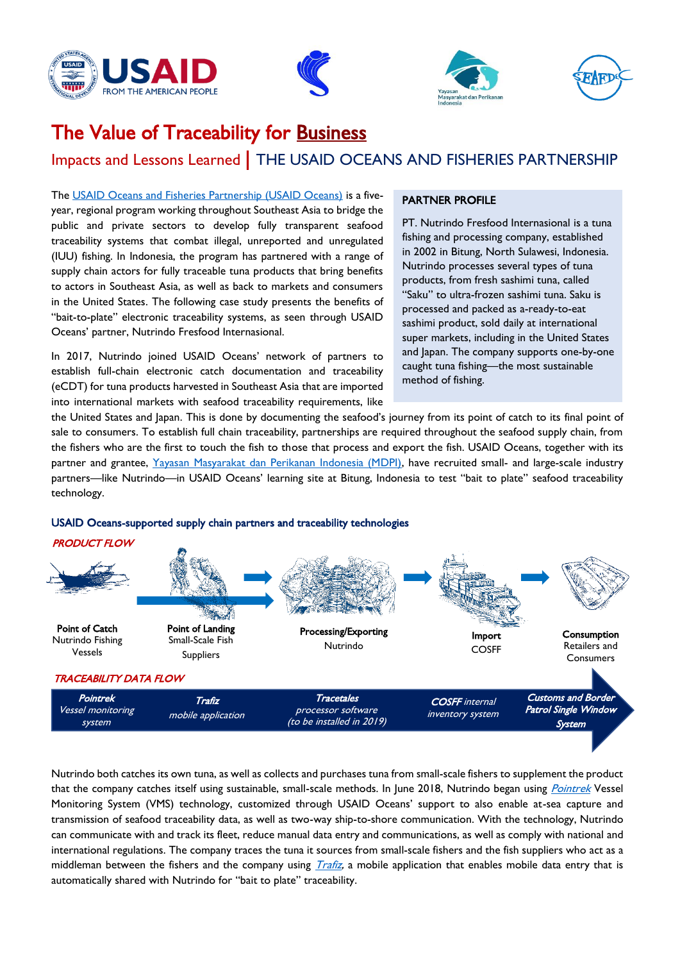







# The Value of Traceability for Business

## Impacts and Lessons Learned | THE USAID OCEANS AND FISHERIES PARTNERSHIP

The [USAID Oceans and Fisheries Partnership \(USAID Oceans\)](https://www.seafdec-oceanspartnership.org/) is a fiveyear, regional program working throughout Southeast Asia to bridge the public and private sectors to develop fully transparent seafood traceability systems that combat illegal, unreported and unregulated (IUU) fishing. In Indonesia, the program has partnered with a range of supply chain actors for fully traceable tuna products that bring benefits to actors in Southeast Asia, as well as back to markets and consumers in the United States. The following case study presents the benefits of "bait-to-plate" electronic traceability systems, as seen through USAID Oceans' partner, Nutrindo Fresfood Internasional.

In 2017, Nutrindo joined USAID Oceans' network of partners to establish full-chain electronic catch documentation and traceability (eCDT) for tuna products harvested in Southeast Asia that are imported into international markets with seafood traceability requirements, like

#### PARTNER PROFILE

PT. Nutrindo Fresfood Internasional is a tuna fishing and processing company, established in 2002 in Bitung, North Sulawesi, Indonesia. Nutrindo processes several types of tuna products, from fresh sashimi tuna, called "Saku" to ultra-frozen sashimi tuna. Saku is processed and packed as a-ready-to-eat sashimi product, sold daily at international super markets, including in the United States and Japan. The company supports one-by-one caught tuna fishing—the most sustainable method of fishing.

the United States and Japan. This is done by documenting the seafood's journey from its point of catch to its final point of sale to consumers. To establish full chain traceability, partnerships are required throughout the seafood supply chain, from the fishers who are the first to touch the fish to those that process and export the fish. USAID Oceans, together with its partner and grantee, [Yayasan Masyarakat dan Perikanan Indonesia \(MDPI\),](https://www.seafdec-oceanspartnership.org/about/grantees/) have recruited small- and large-scale industry partners—like Nutrindo—in USAID Oceans' learning site at Bitung, Indonesia to test "bait to plate" seafood traceability technology.



#### PRODUCT FLOW



Nutrindo both catches its own tuna, as well as collects and purchases tuna from small-scale fishers to supplement the product that the company catches itself using sustainable, small-scale methods. In June 2018, Nutrindo began using *[Pointrek](https://www.seafdec-oceanspartnership.org/traceability-tools/pointrek/)* Vessel Monitoring System (VMS) technology, customized through USAID Oceans' support to also enable at-sea capture and transmission of seafood traceability data, as well as two-way ship-to-shore communication. With the technology, Nutrindo can communicate with and track its fleet, reduce manual data entry and communications, as well as comply with national and international regulations. The company traces the tuna it sources from small-scale fishers and the fish suppliers who act as a middleman between the fishers and the company using  $Tr\hat{z}$ , a mobile application that enables mobile data entry that is automatically shared with Nutrindo for "bait to plate" traceability.